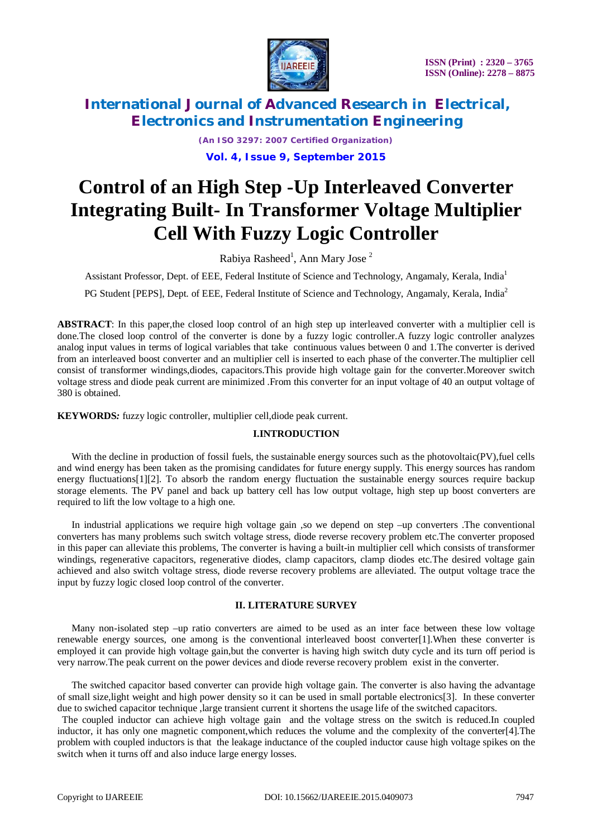

*(An ISO 3297: 2007 Certified Organization)* **Vol. 4, Issue 9, September 2015**

# **Control of an High Step -Up Interleaved Converter Integrating Built- In Transformer Voltage Multiplier Cell With Fuzzy Logic Controller**

Rabiya Rasheed<sup>1</sup>, Ann Mary Jose<sup>2</sup>

Assistant Professor, Dept. of EEE, Federal Institute of Science and Technology, Angamaly, Kerala, India<sup>1</sup>

PG Student [PEPS], Dept. of EEE, Federal Institute of Science and Technology, Angamaly, Kerala, India<sup>2</sup>

**ABSTRACT**: In this paper,the closed loop control of an high step up interleaved converter with a multiplier cell is done.The closed loop control of the converter is done by a fuzzy logic controller.A fuzzy logic controller analyzes analog input values in terms of logical variables that take continuous values between 0 and 1.The converter is derived from an interleaved boost converter and an multiplier cell is inserted to each phase of the converter.The multiplier cell consist of transformer windings,diodes, capacitors.This provide high voltage gain for the converter.Moreover switch voltage stress and diode peak current are minimized .From this converter for an input voltage of 40 an output voltage of 380 is obtained.

**KEYWORDS***:* fuzzy logic controller, multiplier cell,diode peak current.

### **I.INTRODUCTION**

With the decline in production of fossil fuels, the sustainable energy sources such as the photovoltaic(PV), fuel cells and wind energy has been taken as the promising candidates for future energy supply. This energy sources has random energy fluctuations[1][2]. To absorb the random energy fluctuation the sustainable energy sources require backup storage elements. The PV panel and back up battery cell has low output voltage, high step up boost converters are required to lift the low voltage to a high one.

In industrial applications we require high voltage gain ,so we depend on step –up converters .The conventional converters has many problems such switch voltage stress, diode reverse recovery problem etc.The converter proposed in this paper can alleviate this problems, The converter is having a built-in multiplier cell which consists of transformer windings, regenerative capacitors, regenerative diodes, clamp capacitors, clamp diodes etc.The desired voltage gain achieved and also switch voltage stress, diode reverse recovery problems are alleviated. The output voltage trace the input by fuzzy logic closed loop control of the converter.

### **II. LITERATURE SURVEY**

Many non-isolated step –up ratio converters are aimed to be used as an inter face between these low voltage renewable energy sources, one among is the conventional interleaved boost converter[1].When these converter is employed it can provide high voltage gain,but the converter is having high switch duty cycle and its turn off period is very narrow.The peak current on the power devices and diode reverse recovery problem exist in the converter.

The switched capacitor based converter can provide high voltage gain. The converter is also having the advantage of small size,light weight and high power density so it can be used in small portable electronics[3]. In these converter due to swiched capacitor technique ,large transient current it shortens the usage life of the switched capacitors.

The coupled inductor can achieve high voltage gain and the voltage stress on the switch is reduced.In coupled inductor, it has only one magnetic component,which reduces the volume and the complexity of the converter[4].The problem with coupled inductors is that the leakage inductance of the coupled inductor cause high voltage spikes on the switch when it turns off and also induce large energy losses.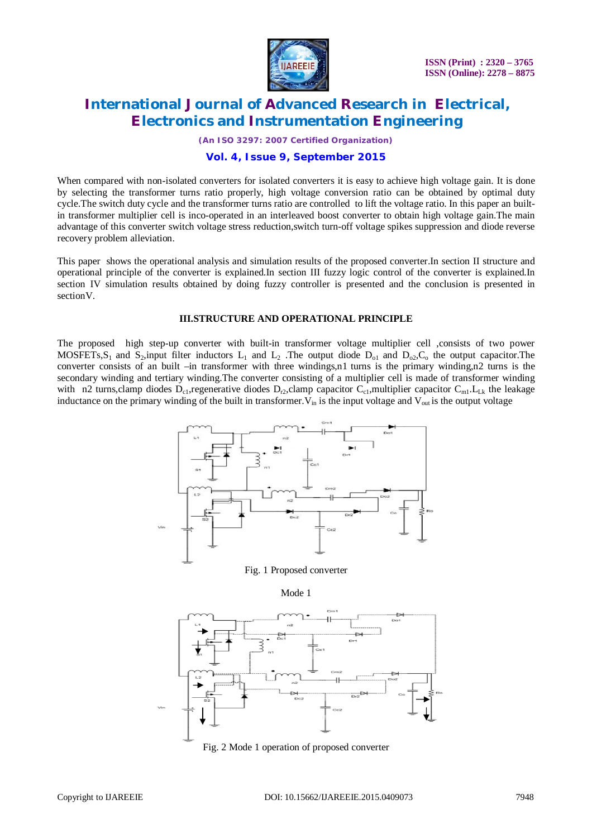

*(An ISO 3297: 2007 Certified Organization)*

### **Vol. 4, Issue 9, September 2015**

When compared with non-isolated converters for isolated converters it is easy to achieve high voltage gain. It is done by selecting the transformer turns ratio properly, high voltage conversion ratio can be obtained by optimal duty cycle.The switch duty cycle and the transformer turns ratio are controlled to lift the voltage ratio. In this paper an builtin transformer multiplier cell is inco-operated in an interleaved boost converter to obtain high voltage gain.The main advantage of this converter switch voltage stress reduction,switch turn-off voltage spikes suppression and diode reverse recovery problem alleviation.

This paper shows the operational analysis and simulation results of the proposed converter.In section II structure and operational principle of the converter is explained.In section III fuzzy logic control of the converter is explained.In section IV simulation results obtained by doing fuzzy controller is presented and the conclusion is presented in sectionV.

#### **III.STRUCTURE AND OPERATIONAL PRINCIPLE**

The proposed high step-up converter with built-in transformer voltage multiplier cell ,consists of two power MOSFETs, S<sub>1</sub> and S<sub>2</sub>, input filter inductors L<sub>1</sub> and L<sub>2</sub>. The output diode D<sub>01</sub> and D<sub>02</sub>, C<sub>0</sub> the output capacitor. The converter consists of an built –in transformer with three windings,n1 turns is the primary winding,n2 turns is the secondary winding and tertiary winding.The converter consisting of a multiplier cell is made of transformer winding with n2 turns,clamp diodes  $D_{c1}$ , regenerative diodes  $D_{r2}$ , clamp capacitor  $C_{c1}$ , multiplier capacitor  $C_{m1}$ .  $L_{Lk}$  the leakage inductance on the primary winding of the built in transformer.  $V_{in}$  is the input voltage and  $V_{out}$  is the output voltage



### Fig. 1 Proposed converter





Fig. 2 Mode 1 operation of proposed converter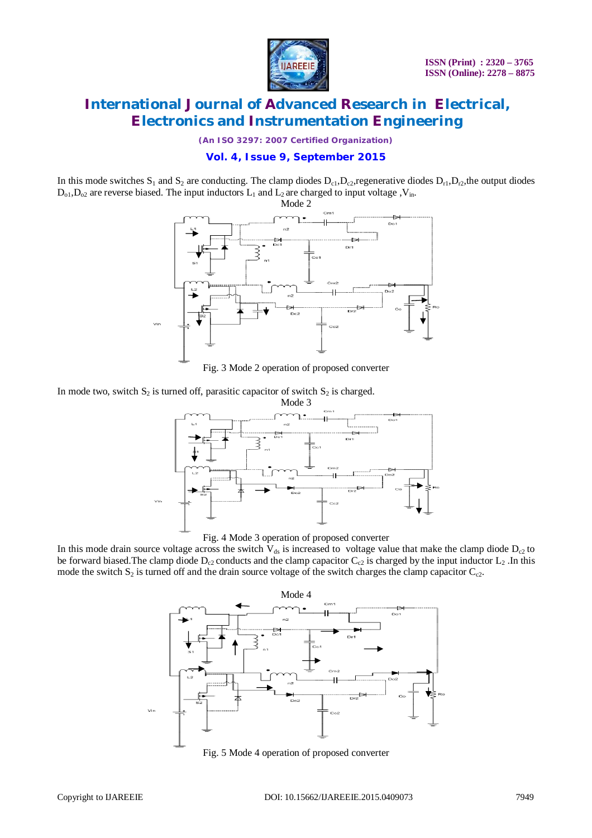

*(An ISO 3297: 2007 Certified Organization)*

## **Vol. 4, Issue 9, September 2015**

In this mode switches  $S_1$  and  $S_2$  are conducting. The clamp diodes  $D_{c1}$ ,  $D_{c2}$ , regenerative diodes  $D_{r1}$ ,  $D_{r2}$ , the output diodes  $D_{0,1}, D_{0,2}$  are reverse biased. The input inductors  $L_1$  and  $L_2$  are charged to input voltage , V<sub>in</sub>.



Fig. 3 Mode 2 operation of proposed converter

In mode two, switch  $S_2$  is turned off, parasitic capacitor of switch  $S_2$  is charged.





In this mode drain source voltage across the switch  $V_{ds}$  is increased to voltage value that make the clamp diode  $D_{c2}$  to be forward biased. The clamp diode  $D_{c2}$  conducts and the clamp capacitor  $C_{c2}$  is charged by the input inductor  $L_2$ . In this mode the switch  $S_2$  is turned off and the drain source voltage of the switch charges the clamp capacitor  $C_{c2}$ .



Fig. 5 Mode 4 operation of proposed converter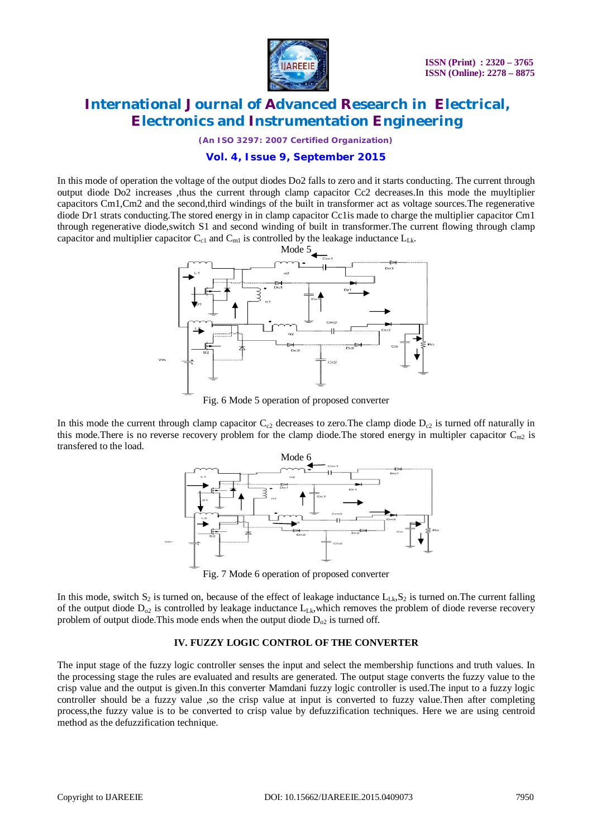

*(An ISO 3297: 2007 Certified Organization)*

## **Vol. 4, Issue 9, September 2015**

In this mode of operation the voltage of the output diodes Do2 falls to zero and it starts conducting. The current through output diode Do2 increases ,thus the current through clamp capacitor Cc2 decreases.In this mode the muyltiplier capacitors Cm1,Cm2 and the second,third windings of the built in transformer act as voltage sources.The regenerative diode Dr1 strats conducting.The stored energy in in clamp capacitor Cc1is made to charge the multiplier capacitor Cm1 through regenerative diode,switch S1 and second winding of built in transformer.The current flowing through clamp capacitor and multiplier capacitor  $C_{c1}$  and  $C_{m1}$  is controlled by the leakage inductance  $L_{Lk}$ .



Fig. 6 Mode 5 operation of proposed converter

In this mode the current through clamp capacitor  $C_{c2}$  decreases to zero. The clamp diode  $D_{c2}$  is turned off naturally in this mode. There is no reverse recovery problem for the clamp diode. The stored energy in multipler capacitor  $C_{m2}$  is transfered to the load.



Fig. 7 Mode 6 operation of proposed converter

In this mode, switch  $S_2$  is turned on, because of the effect of leakage inductance  $L_{1,k}, S_2$  is turned on. The current falling of the output diode  $D_{02}$  is controlled by leakage inductance  $L_{Lk}$ , which removes the problem of diode reverse recovery problem of output diode. This mode ends when the output diode  $D_{02}$  is turned off.

### **IV. FUZZY LOGIC CONTROL OF THE CONVERTER**

The input stage of the fuzzy logic controller senses the input and select the membership functions and truth values. In the processing stage the rules are evaluated and results are generated. The output stage converts the fuzzy value to the crisp value and the output is given.In this converter Mamdani fuzzy logic controller is used.The input to a fuzzy logic controller should be a fuzzy value ,so the crisp value at input is converted to fuzzy value.Then after completing process,the fuzzy value is to be converted to crisp value by defuzzification techniques. Here we are using centroid method as the defuzzification technique.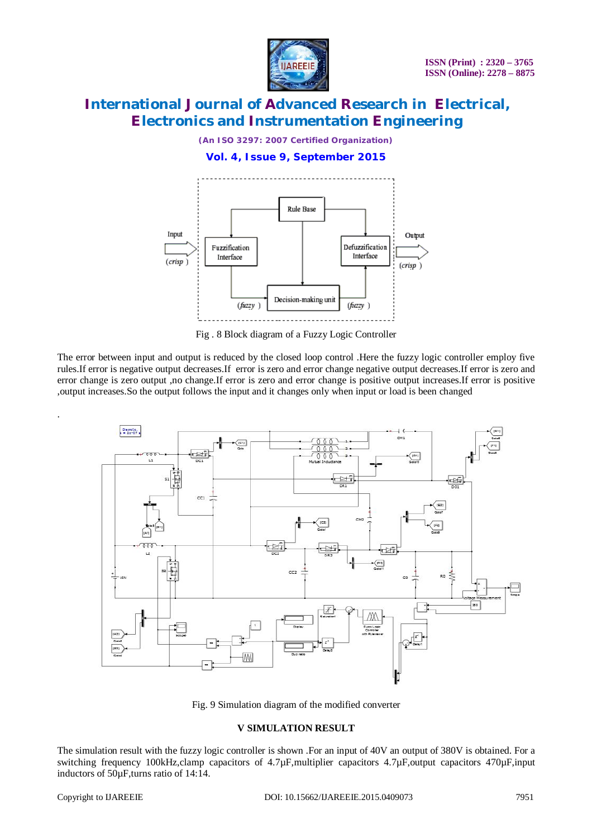

*(An ISO 3297: 2007 Certified Organization)*

**Vol. 4, Issue 9, September 2015**



Fig . 8 Block diagram of a Fuzzy Logic Controller

The error between input and output is reduced by the closed loop control .Here the fuzzy logic controller employ five rules.If error is negative output decreases.If error is zero and error change negative output decreases.If error is zero and error change is zero output ,no change.If error is zero and error change is positive output increases.If error is positive ,output increases.So the output follows the input and it changes only when input or load is been changed



Fig. 9 Simulation diagram of the modified converter

### **V SIMULATION RESULT**

The simulation result with the fuzzy logic controller is shown .For an input of 40V an output of 380V is obtained. For a switching frequency 100kHz,clamp capacitors of 4.7µF,multiplier capacitors 4.7µF,output capacitors 470µF,input inductors of 50µF,turns ratio of 14:14.

.